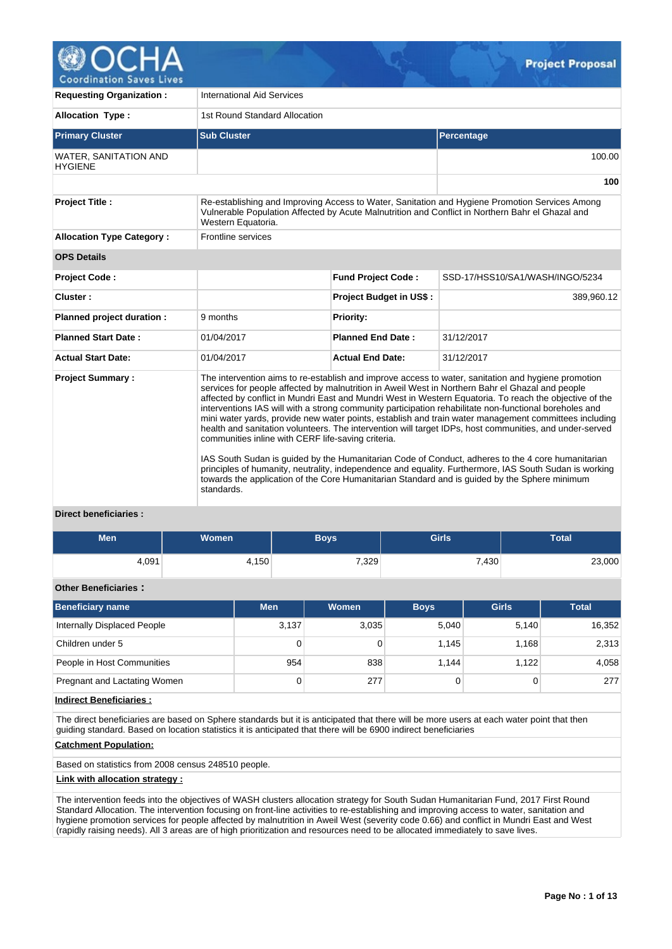

**Requesting Organization :** | International Aid Services **Allocation Type :** 1st Round Standard Allocation **Primary Cluster Sub Cluster Sub Cluster** Sub Cluster Sub Cluster Sub Cluster Sub Cluster Sub Cluster Sub Cluster WATER, SANITATION AND **HYGIENE** 100.00 **100 Project Title :** Re-establishing and Improving Access to Water, Sanitation and Hygiene Promotion Services Among Vulnerable Population Affected by Acute Malnutrition and Conflict in Northern Bahr el Ghazal and Western Equatoria. **Allocation Type Category :** Frontline services **OPS Details Project Code : Fund Project Code :** SSD-17/HSS10/SA1/WASH/INGO/5234 **Cluster : Project Budget in US\$ :** 389,960.12 **Planned project duration :** 9 months **Planned Priority: Planned Start Date :** 01/04/2017 **Planned End Date :** 31/12/2017 **Actual Start Date:** 01/04/2017 **Actual End Date:** 31/12/2017 **Project Summary :** The intervention aims to re-establish and improve access to water, sanitation and hygiene promotion services for people affected by malnutrition in Aweil West in Northern Bahr el Ghazal and people affected by conflict in Mundri East and Mundri West in Western Equatoria. To reach the objective of the interventions IAS will with a strong community participation rehabilitate non-functional boreholes and mini water yards, provide new water points, establish and train water management committees including health and sanitation volunteers. The intervention will target IDPs, host communities, and under-served communities inline with CERF life-saving criteria. IAS South Sudan is guided by the Humanitarian Code of Conduct, adheres to the 4 core humanitarian principles of humanity, neutrality, independence and equality. Furthermore, IAS South Sudan is working towards the application of the Core Humanitarian Standard and is guided by the Sphere minimum standards.

# **Direct beneficiaries :**

| Men   | Women | Boys  | <b>Girls</b> | Total  |
|-------|-------|-------|--------------|--------|
| 4,091 | 4,150 | 7,329 | 7,430        | 23,000 |

## **Other Beneficiaries :**

| <b>Beneficiary name</b>      | <b>Men</b> | <b>Women</b> | <b>Boys</b> | <b>Girls</b> | <b>Total</b> |
|------------------------------|------------|--------------|-------------|--------------|--------------|
| Internally Displaced People  | 3,137      | 3,035        | 5.040       | 5.140        | 16,352       |
| Children under 5             | 0          |              | 1.145       | 1.168        | 2,313        |
| People in Host Communities   | 954        | 838          | 1.144       | 1.122        | 4,058        |
| Pregnant and Lactating Women | 0          | 277          |             | 0            | 277          |

## **Indirect Beneficiaries :**

The direct beneficiaries are based on Sphere standards but it is anticipated that there will be more users at each water point that then guiding standard. Based on location statistics it is anticipated that there will be 6900 indirect beneficiaries

## **Catchment Population:**

Based on statistics from 2008 census 248510 people.

#### **Link with allocation strategy :**

The intervention feeds into the objectives of WASH clusters allocation strategy for South Sudan Humanitarian Fund, 2017 First Round Standard Allocation. The intervention focusing on front-line activities to re-establishing and improving access to water, sanitation and hygiene promotion services for people affected by malnutrition in Aweil West (severity code 0.66) and conflict in Mundri East and West (rapidly raising needs). All 3 areas are of high prioritization and resources need to be allocated immediately to save lives.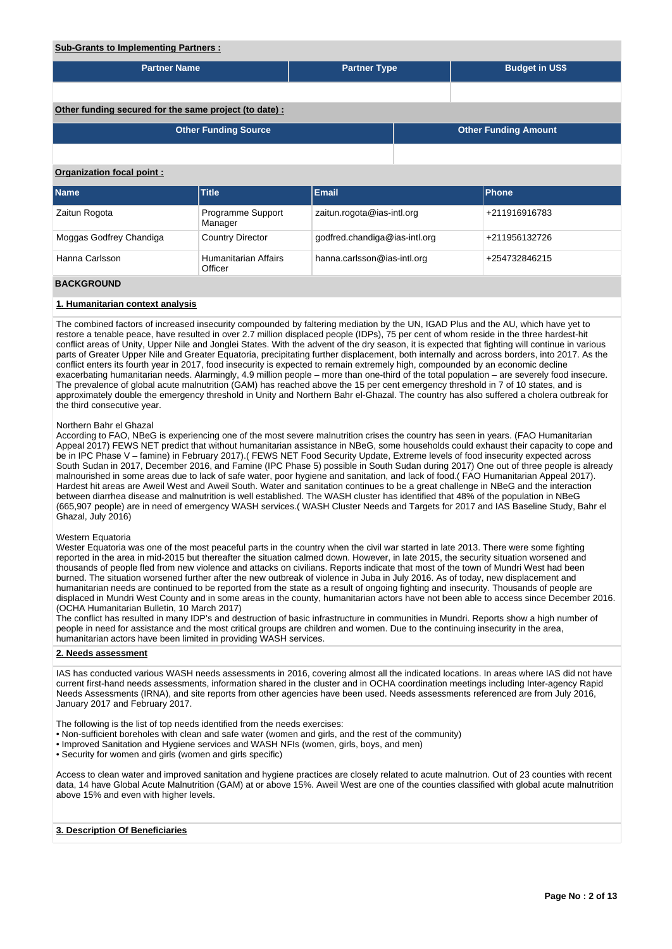# **Sub-Grants to Implementing Partners :**

| <u>Sub-Grants to implementing Faithers.</u>           |                                        |                               |  |                       |                             |  |  |  |  |  |
|-------------------------------------------------------|----------------------------------------|-------------------------------|--|-----------------------|-----------------------------|--|--|--|--|--|
| <b>Partner Name</b>                                   |                                        | <b>Partner Type</b>           |  | <b>Budget in US\$</b> |                             |  |  |  |  |  |
|                                                       |                                        |                               |  |                       |                             |  |  |  |  |  |
| Other funding secured for the same project (to date): |                                        |                               |  |                       |                             |  |  |  |  |  |
|                                                       | <b>Other Funding Source</b>            |                               |  |                       | <b>Other Funding Amount</b> |  |  |  |  |  |
|                                                       |                                        |                               |  |                       |                             |  |  |  |  |  |
| Organization focal point:                             |                                        |                               |  |                       |                             |  |  |  |  |  |
| Name                                                  | <b>Title</b>                           | <b>Email</b>                  |  |                       | <b>Phone</b>                |  |  |  |  |  |
| Zaitun Rogota                                         | Programme Support<br>Manager           | zaitun.rogota@ias-intl.org    |  |                       | +211916916783               |  |  |  |  |  |
| Moggas Godfrey Chandiga                               | <b>Country Director</b>                | godfred.chandiga@ias-intl.org |  |                       | +211956132726               |  |  |  |  |  |
| Hanna Carlsson                                        | <b>Humanitarian Affairs</b><br>Officer | hanna.carlsson@ias-intl.org   |  |                       | +254732846215               |  |  |  |  |  |
| <b>BACKGROUND</b>                                     |                                        |                               |  |                       |                             |  |  |  |  |  |

### **1. Humanitarian context analysis**

The combined factors of increased insecurity compounded by faltering mediation by the UN, IGAD Plus and the AU, which have yet to restore a tenable peace, have resulted in over 2.7 million displaced people (IDPs), 75 per cent of whom reside in the three hardest-hit conflict areas of Unity, Upper Nile and Jonglei States. With the advent of the dry season, it is expected that fighting will continue in various parts of Greater Upper Nile and Greater Equatoria, precipitating further displacement, both internally and across borders, into 2017. As the conflict enters its fourth year in 2017, food insecurity is expected to remain extremely high, compounded by an economic decline exacerbating humanitarian needs. Alarmingly, 4.9 million people – more than one-third of the total population – are severely food insecure. The prevalence of global acute malnutrition (GAM) has reached above the 15 per cent emergency threshold in 7 of 10 states, and is approximately double the emergency threshold in Unity and Northern Bahr el-Ghazal. The country has also suffered a cholera outbreak for the third consecutive year.

#### Northern Bahr el Ghazal

According to FAO, NBeG is experiencing one of the most severe malnutrition crises the country has seen in years. (FAO Humanitarian Appeal 2017) FEWS NET predict that without humanitarian assistance in NBeG, some households could exhaust their capacity to cope and be in IPC Phase V – famine) in February 2017).( FEWS NET Food Security Update, Extreme levels of food insecurity expected across South Sudan in 2017, December 2016, and Famine (IPC Phase 5) possible in South Sudan during 2017) One out of three people is already malnourished in some areas due to lack of safe water, poor hygiene and sanitation, and lack of food.( FAO Humanitarian Appeal 2017). Hardest hit areas are Aweil West and Aweil South. Water and sanitation continues to be a great challenge in NBeG and the interaction between diarrhea disease and malnutrition is well established. The WASH cluster has identified that 48% of the population in NBeG (665,907 people) are in need of emergency WASH services.( WASH Cluster Needs and Targets for 2017 and IAS Baseline Study, Bahr el Ghazal, July 2016)

### Western Equatoria

Wester Equatoria was one of the most peaceful parts in the country when the civil war started in late 2013. There were some fighting reported in the area in mid-2015 but thereafter the situation calmed down. However, in late 2015, the security situation worsened and thousands of people fled from new violence and attacks on civilians. Reports indicate that most of the town of Mundri West had been burned. The situation worsened further after the new outbreak of violence in Juba in July 2016. As of today, new displacement and humanitarian needs are continued to be reported from the state as a result of ongoing fighting and insecurity. Thousands of people are displaced in Mundri West County and in some areas in the county, humanitarian actors have not been able to access since December 2016. (OCHA Humanitarian Bulletin, 10 March 2017)

The conflict has resulted in many IDP's and destruction of basic infrastructure in communities in Mundri. Reports show a high number of people in need for assistance and the most critical groups are children and women. Due to the continuing insecurity in the area, humanitarian actors have been limited in providing WASH services.

## **2. Needs assessment**

IAS has conducted various WASH needs assessments in 2016, covering almost all the indicated locations. In areas where IAS did not have current first-hand needs assessments, information shared in the cluster and in OCHA coordination meetings including Inter-agency Rapid Needs Assessments (IRNA), and site reports from other agencies have been used. Needs assessments referenced are from July 2016, January 2017 and February 2017.

The following is the list of top needs identified from the needs exercises:

- Non-sufficient boreholes with clean and safe water (women and girls, and the rest of the community)
- Improved Sanitation and Hygiene services and WASH NFIs (women, girls, boys, and men)
- Security for women and girls (women and girls specific)

Access to clean water and improved sanitation and hygiene practices are closely related to acute malnutrion. Out of 23 counties with recent data, 14 have Global Acute Malnutrition (GAM) at or above 15%. Aweil West are one of the counties classified with global acute malnutrition above 15% and even with higher levels.

### **3. Description Of Beneficiaries**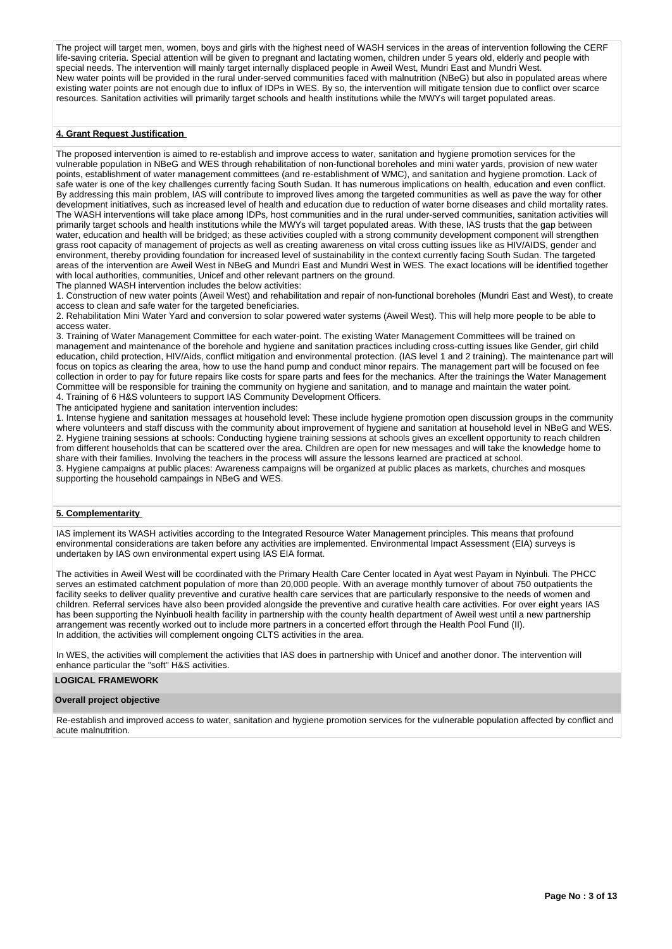The project will target men, women, boys and girls with the highest need of WASH services in the areas of intervention following the CERF life-saving criteria. Special attention will be given to pregnant and lactating women, children under 5 years old, elderly and people with special needs. The intervention will mainly target internally displaced people in Aweil West, Mundri East and Mundri West. New water points will be provided in the rural under-served communities faced with malnutrition (NBeG) but also in populated areas where existing water points are not enough due to influx of IDPs in WES. By so, the intervention will mitigate tension due to conflict over scarce resources. Sanitation activities will primarily target schools and health institutions while the MWYs will target populated areas.

## **4. Grant Request Justification**

The proposed intervention is aimed to re-establish and improve access to water, sanitation and hygiene promotion services for the vulnerable population in NBeG and WES through rehabilitation of non-functional boreholes and mini water yards, provision of new water points, establishment of water management committees (and re-establishment of WMC), and sanitation and hygiene promotion. Lack of safe water is one of the key challenges currently facing South Sudan. It has numerous implications on health, education and even conflict. By addressing this main problem, IAS will contribute to improved lives among the targeted communities as well as pave the way for other development initiatives, such as increased level of health and education due to reduction of water borne diseases and child mortality rates. The WASH interventions will take place among IDPs, host communities and in the rural under-served communities, sanitation activities will primarily target schools and health institutions while the MWYs will target populated areas. With these, IAS trusts that the gap between water, education and health will be bridged; as these activities coupled with a strong community development component will strengthen grass root capacity of management of projects as well as creating awareness on vital cross cutting issues like as HIV/AIDS, gender and environment, thereby providing foundation for increased level of sustainability in the context currently facing South Sudan. The targeted areas of the intervention are Aweil West in NBeG and Mundri East and Mundri West in WES. The exact locations will be identified together with local authorities, communities, Unicef and other relevant partners on the ground. The planned WASH intervention includes the below activities:

1. Construction of new water points (Aweil West) and rehabilitation and repair of non-functional boreholes (Mundri East and West), to create access to clean and safe water for the targeted beneficiaries.

2. Rehabilitation Mini Water Yard and conversion to solar powered water systems (Aweil West). This will help more people to be able to access water.

3. Training of Water Management Committee for each water-point. The existing Water Management Committees will be trained on management and maintenance of the borehole and hygiene and sanitation practices including cross-cutting issues like Gender, girl child education, child protection, HIV/Aids, conflict mitigation and environmental protection. (IAS level 1 and 2 training). The maintenance part will focus on topics as clearing the area, how to use the hand pump and conduct minor repairs. The management part will be focused on fee collection in order to pay for future repairs like costs for spare parts and fees for the mechanics. After the trainings the Water Management Committee will be responsible for training the community on hygiene and sanitation, and to manage and maintain the water point. 4. Training of 6 H&S volunteers to support IAS Community Development Officers.

The anticipated hygiene and sanitation intervention includes:

1. Intense hygiene and sanitation messages at household level: These include hygiene promotion open discussion groups in the community where volunteers and staff discuss with the community about improvement of hygiene and sanitation at household level in NBeG and WES. 2. Hygiene training sessions at schools: Conducting hygiene training sessions at schools gives an excellent opportunity to reach children from different households that can be scattered over the area. Children are open for new messages and will take the knowledge home to share with their families. Involving the teachers in the process will assure the lessons learned are practiced at school. 3. Hygiene campaigns at public places: Awareness campaigns will be organized at public places as markets, churches and mosques supporting the household campaings in NBeG and WES.

## **5. Complementarity**

IAS implement its WASH activities according to the Integrated Resource Water Management principles. This means that profound environmental considerations are taken before any activities are implemented. Environmental Impact Assessment (EIA) surveys is undertaken by IAS own environmental expert using IAS EIA format.

The activities in Aweil West will be coordinated with the Primary Health Care Center located in Ayat west Payam in Nyinbuli. The PHCC serves an estimated catchment population of more than 20,000 people. With an average monthly turnover of about 750 outpatients the facility seeks to deliver quality preventive and curative health care services that are particularly responsive to the needs of women and children. Referral services have also been provided alongside the preventive and curative health care activities. For over eight years IAS has been supporting the Nyinbuoli health facility in partnership with the county health department of Aweil west until a new partnership arrangement was recently worked out to include more partners in a concerted effort through the Health Pool Fund (II). In addition, the activities will complement ongoing CLTS activities in the area.

In WES, the activities will complement the activities that IAS does in partnership with Unicef and another donor. The intervention will enhance particular the "soft" H&S activities.

### **LOGICAL FRAMEWORK**

#### **Overall project objective**

Re-establish and improved access to water, sanitation and hygiene promotion services for the vulnerable population affected by conflict and acute malnutrition.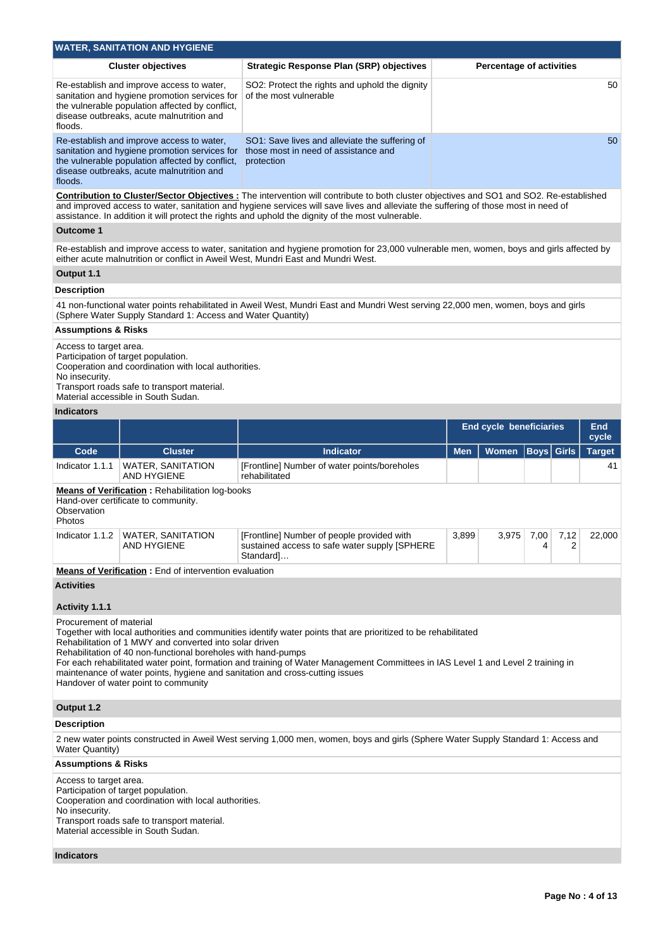|                                                                                                                                                                                                                                                                                                                                                                                          | <b>WATER, SANITATION AND HYGIENE</b>                                                                                                                                                       |                                                                                                                                                                                                                                                                                                                                    |            |                                 |           |           |               |  |  |  |  |  |
|------------------------------------------------------------------------------------------------------------------------------------------------------------------------------------------------------------------------------------------------------------------------------------------------------------------------------------------------------------------------------------------|--------------------------------------------------------------------------------------------------------------------------------------------------------------------------------------------|------------------------------------------------------------------------------------------------------------------------------------------------------------------------------------------------------------------------------------------------------------------------------------------------------------------------------------|------------|---------------------------------|-----------|-----------|---------------|--|--|--|--|--|
|                                                                                                                                                                                                                                                                                                                                                                                          | <b>Cluster objectives</b>                                                                                                                                                                  | <b>Strategic Response Plan (SRP) objectives</b>                                                                                                                                                                                                                                                                                    |            | <b>Percentage of activities</b> |           |           |               |  |  |  |  |  |
| floods.                                                                                                                                                                                                                                                                                                                                                                                  | Re-establish and improve access to water,<br>sanitation and hygiene promotion services for<br>the vulnerable population affected by conflict,<br>disease outbreaks, acute malnutrition and | SO2: Protect the rights and uphold the dignity<br>of the most vulnerable                                                                                                                                                                                                                                                           |            |                                 |           |           | 50            |  |  |  |  |  |
| floods.                                                                                                                                                                                                                                                                                                                                                                                  | Re-establish and improve access to water,<br>sanitation and hygiene promotion services for<br>the vulnerable population affected by conflict,<br>disease outbreaks, acute malnutrition and | SO1: Save lives and alleviate the suffering of<br>those most in need of assistance and<br>protection                                                                                                                                                                                                                               |            |                                 |           |           | 50            |  |  |  |  |  |
| <b>Contribution to Cluster/Sector Objectives:</b> The intervention will contribute to both cluster objectives and SO1 and SO2. Re-established<br>and improved access to water, sanitation and hygiene services will save lives and alleviate the suffering of those most in need of<br>assistance. In addition it will protect the rights and uphold the dignity of the most vulnerable. |                                                                                                                                                                                            |                                                                                                                                                                                                                                                                                                                                    |            |                                 |           |           |               |  |  |  |  |  |
| <b>Outcome 1</b>                                                                                                                                                                                                                                                                                                                                                                         |                                                                                                                                                                                            |                                                                                                                                                                                                                                                                                                                                    |            |                                 |           |           |               |  |  |  |  |  |
| Re-establish and improve access to water, sanitation and hygiene promotion for 23,000 vulnerable men, women, boys and girls affected by<br>either acute malnutrition or conflict in Aweil West, Mundri East and Mundri West.                                                                                                                                                             |                                                                                                                                                                                            |                                                                                                                                                                                                                                                                                                                                    |            |                                 |           |           |               |  |  |  |  |  |
| Output 1.1                                                                                                                                                                                                                                                                                                                                                                               |                                                                                                                                                                                            |                                                                                                                                                                                                                                                                                                                                    |            |                                 |           |           |               |  |  |  |  |  |
| <b>Description</b>                                                                                                                                                                                                                                                                                                                                                                       |                                                                                                                                                                                            |                                                                                                                                                                                                                                                                                                                                    |            |                                 |           |           |               |  |  |  |  |  |
|                                                                                                                                                                                                                                                                                                                                                                                          | (Sphere Water Supply Standard 1: Access and Water Quantity)                                                                                                                                | 41 non-functional water points rehabilitated in Aweil West, Mundri East and Mundri West serving 22,000 men, women, boys and girls                                                                                                                                                                                                  |            |                                 |           |           |               |  |  |  |  |  |
| <b>Assumptions &amp; Risks</b>                                                                                                                                                                                                                                                                                                                                                           |                                                                                                                                                                                            |                                                                                                                                                                                                                                                                                                                                    |            |                                 |           |           |               |  |  |  |  |  |
| Access to target area.<br>Participation of target population.<br>Cooperation and coordination with local authorities.<br>No insecurity.<br>Transport roads safe to transport material.<br>Material accessible in South Sudan.                                                                                                                                                            |                                                                                                                                                                                            |                                                                                                                                                                                                                                                                                                                                    |            |                                 |           |           |               |  |  |  |  |  |
| <b>Indicators</b>                                                                                                                                                                                                                                                                                                                                                                        |                                                                                                                                                                                            |                                                                                                                                                                                                                                                                                                                                    |            |                                 |           |           |               |  |  |  |  |  |
|                                                                                                                                                                                                                                                                                                                                                                                          |                                                                                                                                                                                            | <b>End</b><br><b>End cycle beneficiaries</b><br>cycle                                                                                                                                                                                                                                                                              |            |                                 |           |           |               |  |  |  |  |  |
|                                                                                                                                                                                                                                                                                                                                                                                          |                                                                                                                                                                                            | <b>Boys</b> Girls                                                                                                                                                                                                                                                                                                                  |            |                                 |           |           |               |  |  |  |  |  |
| Code                                                                                                                                                                                                                                                                                                                                                                                     | <b>Cluster</b>                                                                                                                                                                             | <b>Indicator</b>                                                                                                                                                                                                                                                                                                                   | <b>Men</b> | <b>Women</b>                    |           |           | <b>Target</b> |  |  |  |  |  |
| Indicator 1.1.1                                                                                                                                                                                                                                                                                                                                                                          | <b>WATER, SANITATION</b><br><b>AND HYGIENE</b>                                                                                                                                             | [Frontline] Number of water points/boreholes<br>rehabilitated                                                                                                                                                                                                                                                                      |            |                                 |           |           | 41            |  |  |  |  |  |
| Observation<br>Photos                                                                                                                                                                                                                                                                                                                                                                    | <b>Means of Verification:</b> Rehabilitation log-books<br>Hand-over certificate to community.                                                                                              |                                                                                                                                                                                                                                                                                                                                    |            |                                 |           |           |               |  |  |  |  |  |
| Indicator 1.1.2                                                                                                                                                                                                                                                                                                                                                                          | <b>WATER, SANITATION</b><br>AND HYGIENE                                                                                                                                                    | [Frontline] Number of people provided with<br>sustained access to safe water supply [SPHERE<br>Standard]                                                                                                                                                                                                                           | 3,899      | 3,975                           | 7,00<br>4 | 7,12<br>2 | 22,000        |  |  |  |  |  |
|                                                                                                                                                                                                                                                                                                                                                                                          | <b>Means of Verification:</b> End of intervention evaluation                                                                                                                               |                                                                                                                                                                                                                                                                                                                                    |            |                                 |           |           |               |  |  |  |  |  |
| <b>Activities</b>                                                                                                                                                                                                                                                                                                                                                                        |                                                                                                                                                                                            |                                                                                                                                                                                                                                                                                                                                    |            |                                 |           |           |               |  |  |  |  |  |
| Activity 1.1.1<br>Procurement of material                                                                                                                                                                                                                                                                                                                                                | Rehabilitation of 1 MWY and converted into solar driven<br>Rehabilitation of 40 non-functional boreholes with hand-pumps<br>Handover of water point to community                           | Together with local authorities and communities identify water points that are prioritized to be rehabilitated<br>For each rehabilitated water point, formation and training of Water Management Committees in IAS Level 1 and Level 2 training in<br>maintenance of water points, hygiene and sanitation and cross-cutting issues |            |                                 |           |           |               |  |  |  |  |  |
| Output 1.2                                                                                                                                                                                                                                                                                                                                                                               |                                                                                                                                                                                            |                                                                                                                                                                                                                                                                                                                                    |            |                                 |           |           |               |  |  |  |  |  |
|                                                                                                                                                                                                                                                                                                                                                                                          |                                                                                                                                                                                            |                                                                                                                                                                                                                                                                                                                                    |            |                                 |           |           |               |  |  |  |  |  |
| <b>Description</b><br><b>Water Quantity)</b>                                                                                                                                                                                                                                                                                                                                             |                                                                                                                                                                                            | 2 new water points constructed in Aweil West serving 1,000 men, women, boys and girls (Sphere Water Supply Standard 1: Access and                                                                                                                                                                                                  |            |                                 |           |           |               |  |  |  |  |  |
| Assumptions & Risks                                                                                                                                                                                                                                                                                                                                                                      |                                                                                                                                                                                            |                                                                                                                                                                                                                                                                                                                                    |            |                                 |           |           |               |  |  |  |  |  |

# **Indicators**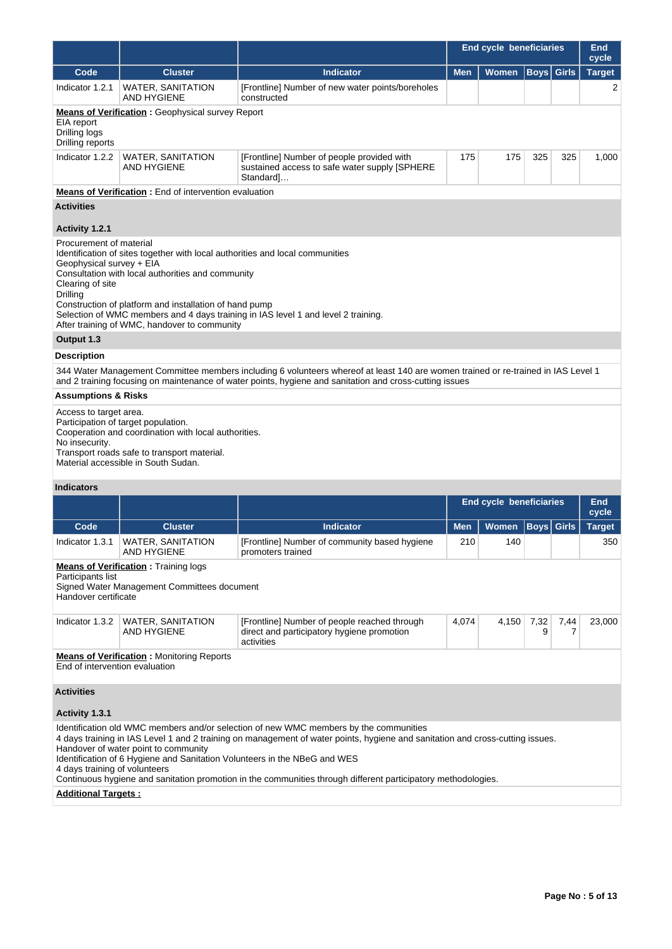|                                                                                                                                                                                                                                                                                                                                                                                                                          |                                                                                                                                                                                   |                                                                                                                                                                                                                                                                                                                                                                                                                      |            | <b>End cycle beneficiaries</b> |             |              | <b>End</b><br>cycle |  |  |  |  |
|--------------------------------------------------------------------------------------------------------------------------------------------------------------------------------------------------------------------------------------------------------------------------------------------------------------------------------------------------------------------------------------------------------------------------|-----------------------------------------------------------------------------------------------------------------------------------------------------------------------------------|----------------------------------------------------------------------------------------------------------------------------------------------------------------------------------------------------------------------------------------------------------------------------------------------------------------------------------------------------------------------------------------------------------------------|------------|--------------------------------|-------------|--------------|---------------------|--|--|--|--|
| Code                                                                                                                                                                                                                                                                                                                                                                                                                     | <b>Cluster</b>                                                                                                                                                                    | <b>Indicator</b>                                                                                                                                                                                                                                                                                                                                                                                                     | <b>Men</b> | <b>Women</b>                   | <b>Boys</b> | <b>Girls</b> | <b>Target</b>       |  |  |  |  |
| Indicator 1.2.1                                                                                                                                                                                                                                                                                                                                                                                                          | <b>WATER, SANITATION</b><br><b>AND HYGIENE</b>                                                                                                                                    | [Frontline] Number of new water points/boreholes<br>constructed                                                                                                                                                                                                                                                                                                                                                      |            |                                |             |              | 2                   |  |  |  |  |
| EIA report<br>Drilling logs<br>Drilling reports                                                                                                                                                                                                                                                                                                                                                                          | <b>Means of Verification:</b> Geophysical survey Report                                                                                                                           |                                                                                                                                                                                                                                                                                                                                                                                                                      |            |                                |             |              |                     |  |  |  |  |
| Indicator 1.2.2                                                                                                                                                                                                                                                                                                                                                                                                          | <b>WATER, SANITATION</b><br><b>AND HYGIENE</b>                                                                                                                                    | [Frontline] Number of people provided with<br>sustained access to safe water supply [SPHERE<br>Standard]                                                                                                                                                                                                                                                                                                             | 175        | 175                            | 325         | 325          | 1,000               |  |  |  |  |
|                                                                                                                                                                                                                                                                                                                                                                                                                          | <b>Means of Verification</b> : End of intervention evaluation                                                                                                                     |                                                                                                                                                                                                                                                                                                                                                                                                                      |            |                                |             |              |                     |  |  |  |  |
| <b>Activities</b>                                                                                                                                                                                                                                                                                                                                                                                                        |                                                                                                                                                                                   |                                                                                                                                                                                                                                                                                                                                                                                                                      |            |                                |             |              |                     |  |  |  |  |
| Activity 1.2.1                                                                                                                                                                                                                                                                                                                                                                                                           |                                                                                                                                                                                   |                                                                                                                                                                                                                                                                                                                                                                                                                      |            |                                |             |              |                     |  |  |  |  |
| Procurement of material<br>Identification of sites together with local authorities and local communities<br>Geophysical survey + EIA<br>Consultation with local authorities and community<br>Clearing of site<br>Drilling<br>Construction of platform and installation of hand pump<br>Selection of WMC members and 4 days training in IAS level 1 and level 2 training.<br>After training of WMC, handover to community |                                                                                                                                                                                   |                                                                                                                                                                                                                                                                                                                                                                                                                      |            |                                |             |              |                     |  |  |  |  |
| Output 1.3                                                                                                                                                                                                                                                                                                                                                                                                               |                                                                                                                                                                                   |                                                                                                                                                                                                                                                                                                                                                                                                                      |            |                                |             |              |                     |  |  |  |  |
| <b>Description</b>                                                                                                                                                                                                                                                                                                                                                                                                       |                                                                                                                                                                                   |                                                                                                                                                                                                                                                                                                                                                                                                                      |            |                                |             |              |                     |  |  |  |  |
| 344 Water Management Committee members including 6 volunteers whereof at least 140 are women trained or re-trained in IAS Level 1<br>and 2 training focusing on maintenance of water points, hygiene and sanitation and cross-cutting issues                                                                                                                                                                             |                                                                                                                                                                                   |                                                                                                                                                                                                                                                                                                                                                                                                                      |            |                                |             |              |                     |  |  |  |  |
| <b>Assumptions &amp; Risks</b>                                                                                                                                                                                                                                                                                                                                                                                           |                                                                                                                                                                                   |                                                                                                                                                                                                                                                                                                                                                                                                                      |            |                                |             |              |                     |  |  |  |  |
| Access to target area.<br>No insecurity.                                                                                                                                                                                                                                                                                                                                                                                 | Participation of target population.<br>Cooperation and coordination with local authorities.<br>Transport roads safe to transport material.<br>Material accessible in South Sudan. |                                                                                                                                                                                                                                                                                                                                                                                                                      |            |                                |             |              |                     |  |  |  |  |
| <b>Indicators</b>                                                                                                                                                                                                                                                                                                                                                                                                        |                                                                                                                                                                                   |                                                                                                                                                                                                                                                                                                                                                                                                                      |            |                                |             |              |                     |  |  |  |  |
|                                                                                                                                                                                                                                                                                                                                                                                                                          |                                                                                                                                                                                   |                                                                                                                                                                                                                                                                                                                                                                                                                      |            | End cycle beneficiaries        |             |              | <b>End</b><br>cycle |  |  |  |  |
| Code                                                                                                                                                                                                                                                                                                                                                                                                                     | <b>Cluster</b>                                                                                                                                                                    | <b>Indicator</b>                                                                                                                                                                                                                                                                                                                                                                                                     | <b>Men</b> | <b>Women</b>                   | Boys        | <b>Girls</b> | <b>Target</b>       |  |  |  |  |
| Indicator 1.3.1                                                                                                                                                                                                                                                                                                                                                                                                          | WATER, SANITATION<br><b>AND HYGIENE</b>                                                                                                                                           | [Frontline] Number of community based hygiene<br>promoters trained                                                                                                                                                                                                                                                                                                                                                   | 210        | 140                            |             |              | 350                 |  |  |  |  |
| Participants list<br>Handover certificate                                                                                                                                                                                                                                                                                                                                                                                | <b>Means of Verification:</b> Training logs<br>Signed Water Management Committees document                                                                                        |                                                                                                                                                                                                                                                                                                                                                                                                                      |            |                                |             |              |                     |  |  |  |  |
| Indicator 1.3.2                                                                                                                                                                                                                                                                                                                                                                                                          | <b>WATER, SANITATION</b><br><b>AND HYGIENE</b>                                                                                                                                    | [Frontline] Number of people reached through<br>direct and participatory hygiene promotion<br>activities                                                                                                                                                                                                                                                                                                             | 4,074      | 4,150                          | 7,32<br>9   | 7,44<br>7    | 23,000              |  |  |  |  |
| End of intervention evaluation                                                                                                                                                                                                                                                                                                                                                                                           | <b>Means of Verification:</b> Monitoring Reports                                                                                                                                  |                                                                                                                                                                                                                                                                                                                                                                                                                      |            |                                |             |              |                     |  |  |  |  |
| <b>Activities</b>                                                                                                                                                                                                                                                                                                                                                                                                        |                                                                                                                                                                                   |                                                                                                                                                                                                                                                                                                                                                                                                                      |            |                                |             |              |                     |  |  |  |  |
| Activity 1.3.1                                                                                                                                                                                                                                                                                                                                                                                                           |                                                                                                                                                                                   |                                                                                                                                                                                                                                                                                                                                                                                                                      |            |                                |             |              |                     |  |  |  |  |
| 4 days training of volunteers                                                                                                                                                                                                                                                                                                                                                                                            | Handover of water point to community                                                                                                                                              | Identification old WMC members and/or selection of new WMC members by the communities<br>4 days training in IAS Level 1 and 2 training on management of water points, hygiene and sanitation and cross-cutting issues.<br>Identification of 6 Hygiene and Sanitation Volunteers in the NBeG and WES<br>Continuous hygiene and sanitation promotion in the communities through different participatory methodologies. |            |                                |             |              |                     |  |  |  |  |
| <b>Additional Targets:</b>                                                                                                                                                                                                                                                                                                                                                                                               |                                                                                                                                                                                   |                                                                                                                                                                                                                                                                                                                                                                                                                      |            |                                |             |              |                     |  |  |  |  |
|                                                                                                                                                                                                                                                                                                                                                                                                                          |                                                                                                                                                                                   |                                                                                                                                                                                                                                                                                                                                                                                                                      |            |                                |             |              |                     |  |  |  |  |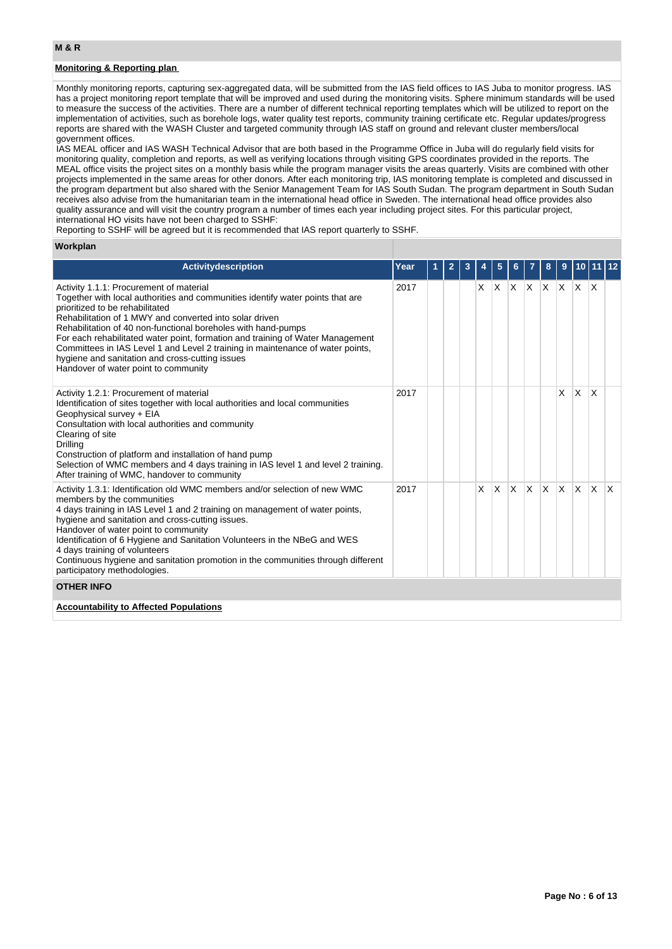# **Monitoring & Reporting plan**

Monthly monitoring reports, capturing sex-aggregated data, will be submitted from the IAS field offices to IAS Juba to monitor progress. IAS has a project monitoring report template that will be improved and used during the monitoring visits. Sphere minimum standards will be used to measure the success of the activities. There are a number of different technical reporting templates which will be utilized to report on the implementation of activities, such as borehole logs, water quality test reports, community training certificate etc. Regular updates/progress reports are shared with the WASH Cluster and targeted community through IAS staff on ground and relevant cluster members/local government offices.

IAS MEAL officer and IAS WASH Technical Advisor that are both based in the Programme Office in Juba will do regularly field visits for monitoring quality, completion and reports, as well as verifying locations through visiting GPS coordinates provided in the reports. The MEAL office visits the project sites on a monthly basis while the program manager visits the areas quarterly. Visits are combined with other projects implemented in the same areas for other donors. After each monitoring trip, IAS monitoring template is completed and discussed in the program department but also shared with the Senior Management Team for IAS South Sudan. The program department in South Sudan receives also advise from the humanitarian team in the international head office in Sweden. The international head office provides also quality assurance and will visit the country program a number of times each year including project sites. For this particular project, international HO visits have not been charged to SSHF:

Reporting to SSHF will be agreed but it is recommended that IAS report quarterly to SSHF.

### **Workplan**

| <b>Activitydescription</b>                                                                                                                                                                                                                                                                                                                                                                                                                                                                                                                              | Year | $\overline{2}$ | 3 |          | 5        |              |   | 8   | 9                           |              |              |     |
|---------------------------------------------------------------------------------------------------------------------------------------------------------------------------------------------------------------------------------------------------------------------------------------------------------------------------------------------------------------------------------------------------------------------------------------------------------------------------------------------------------------------------------------------------------|------|----------------|---|----------|----------|--------------|---|-----|-----------------------------|--------------|--------------|-----|
| Activity 1.1.1: Procurement of material<br>Together with local authorities and communities identify water points that are<br>prioritized to be rehabilitated<br>Rehabilitation of 1 MWY and converted into solar driven<br>Rehabilitation of 40 non-functional boreholes with hand-pumps<br>For each rehabilitated water point, formation and training of Water Management<br>Committees in IAS Level 1 and Level 2 training in maintenance of water points,<br>hygiene and sanitation and cross-cutting issues<br>Handover of water point to community | 2017 |                |   | X        |          |              |   |     | $x \times x$ x $x \times x$ |              | $\mathsf{X}$ |     |
| Activity 1.2.1: Procurement of material<br>Identification of sites together with local authorities and local communities<br>Geophysical survey + EIA<br>Consultation with local authorities and community<br>Clearing of site<br>Drilling<br>Construction of platform and installation of hand pump<br>Selection of WMC members and 4 days training in IAS level 1 and level 2 training.<br>After training of WMC, handover to community                                                                                                                | 2017 |                |   |          |          |              |   |     | X                           | X.           | X            |     |
| Activity 1.3.1: Identification old WMC members and/or selection of new WMC<br>members by the communities<br>4 days training in IAS Level 1 and 2 training on management of water points,<br>hygiene and sanitation and cross-cutting issues.<br>Handover of water point to community<br>Identification of 6 Hygiene and Sanitation Volunteers in the NBeG and WES<br>4 days training of volunteers<br>Continuous hygiene and sanitation promotion in the communities through different<br>participatory methodologies.                                  | 2017 |                |   | $\times$ | $\times$ | $\mathsf{x}$ | X | ΙX. | $\mathsf{X}$                | $\mathsf{x}$ | $\times$     | ΙX. |
| <b>OTHER INFO</b>                                                                                                                                                                                                                                                                                                                                                                                                                                                                                                                                       |      |                |   |          |          |              |   |     |                             |              |              |     |
| <b>Accountability to Affected Populations</b>                                                                                                                                                                                                                                                                                                                                                                                                                                                                                                           |      |                |   |          |          |              |   |     |                             |              |              |     |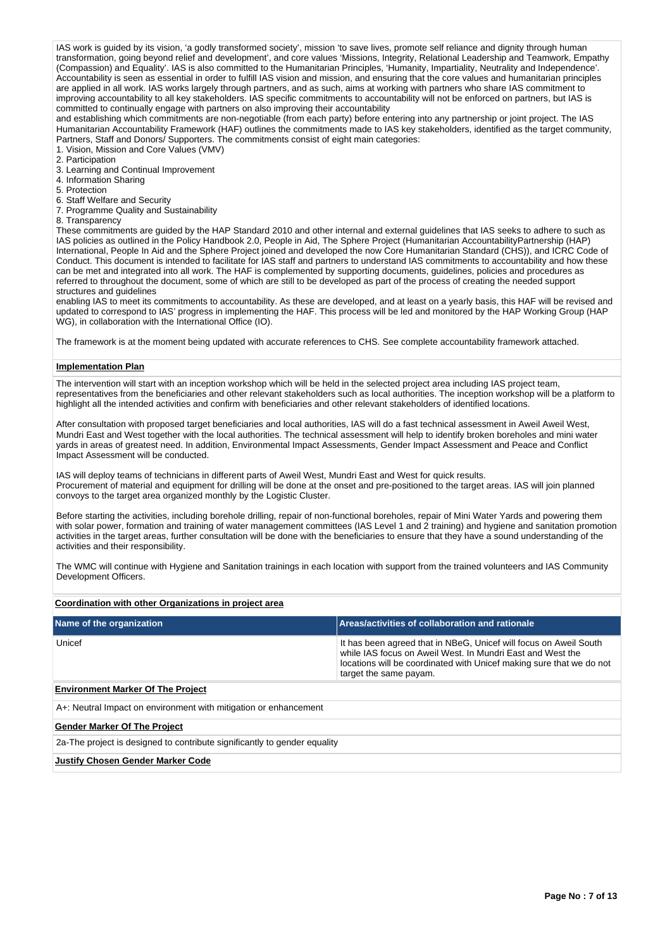IAS work is guided by its vision, 'a godly transformed society', mission 'to save lives, promote self reliance and dignity through human transformation, going beyond relief and development', and core values 'Missions, Integrity, Relational Leadership and Teamwork, Empathy (Compassion) and Equality'. IAS is also committed to the Humanitarian Principles, 'Humanity, Impartiality, Neutrality and Independence'. Accountability is seen as essential in order to fulfill IAS vision and mission, and ensuring that the core values and humanitarian principles are applied in all work. IAS works largely through partners, and as such, aims at working with partners who share IAS commitment to improving accountability to all key stakeholders. IAS specific commitments to accountability will not be enforced on partners, but IAS is committed to continually engage with partners on also improving their accountability

and establishing which commitments are non-negotiable (from each party) before entering into any partnership or joint project. The IAS Humanitarian Accountability Framework (HAF) outlines the commitments made to IAS key stakeholders, identified as the target community, Partners, Staff and Donors/ Supporters. The commitments consist of eight main categories:

- 1. Vision, Mission and Core Values (VMV)
- 2. Participation
- 3. Learning and Continual Improvement
- 4. Information Sharing
- 5. Protection
- 6. Staff Welfare and Security

7. Programme Quality and Sustainability

8. Transparency

These commitments are guided by the HAP Standard 2010 and other internal and external guidelines that IAS seeks to adhere to such as IAS policies as outlined in the Policy Handbook 2.0, People in Aid, The Sphere Project (Humanitarian AccountabilityPartnership (HAP) International, People In Aid and the Sphere Project joined and developed the now Core Humanitarian Standard (CHS)), and ICRC Code of Conduct. This document is intended to facilitate for IAS staff and partners to understand IAS commitments to accountability and how these can be met and integrated into all work. The HAF is complemented by supporting documents, guidelines, policies and procedures as referred to throughout the document, some of which are still to be developed as part of the process of creating the needed support structures and guidelines

enabling IAS to meet its commitments to accountability. As these are developed, and at least on a yearly basis, this HAF will be revised and updated to correspond to IAS' progress in implementing the HAF. This process will be led and monitored by the HAP Working Group (HAP WG), in collaboration with the International Office (IO).

The framework is at the moment being updated with accurate references to CHS. See complete accountability framework attached.

## **Implementation Plan**

The intervention will start with an inception workshop which will be held in the selected project area including IAS project team, representatives from the beneficiaries and other relevant stakeholders such as local authorities. The inception workshop will be a platform to highlight all the intended activities and confirm with beneficiaries and other relevant stakeholders of identified locations.

After consultation with proposed target beneficiaries and local authorities, IAS will do a fast technical assessment in Aweil Aweil West, Mundri East and West together with the local authorities. The technical assessment will help to identify broken boreholes and mini water yards in areas of greatest need. In addition, Environmental Impact Assessments, Gender Impact Assessment and Peace and Conflict Impact Assessment will be conducted.

IAS will deploy teams of technicians in different parts of Aweil West, Mundri East and West for quick results. Procurement of material and equipment for drilling will be done at the onset and pre-positioned to the target areas. IAS will join planned convoys to the target area organized monthly by the Logistic Cluster.

Before starting the activities, including borehole drilling, repair of non-functional boreholes, repair of Mini Water Yards and powering them with solar power, formation and training of water management committees (IAS Level 1 and 2 training) and hygiene and sanitation promotion activities in the target areas, further consultation will be done with the beneficiaries to ensure that they have a sound understanding of the activities and their responsibility.

The WMC will continue with Hygiene and Sanitation trainings in each location with support from the trained volunteers and IAS Community Development Officers.

## **Coordination with other Organizations in project area**

| Name of the organization                                                  | Areas/activities of collaboration and rationale                                                                                                                                                                                   |  |  |  |  |  |
|---------------------------------------------------------------------------|-----------------------------------------------------------------------------------------------------------------------------------------------------------------------------------------------------------------------------------|--|--|--|--|--|
| Unicef                                                                    | It has been agreed that in NBeG, Unicef will focus on Aweil South<br>while IAS focus on Aweil West. In Mundri Fast and West the<br>locations will be coordinated with Unicef making sure that we do not<br>target the same payam. |  |  |  |  |  |
| <b>Environment Marker Of The Project</b>                                  |                                                                                                                                                                                                                                   |  |  |  |  |  |
| A+: Neutral Impact on environment with mitigation or enhancement          |                                                                                                                                                                                                                                   |  |  |  |  |  |
| <b>Gender Marker Of The Project</b>                                       |                                                                                                                                                                                                                                   |  |  |  |  |  |
| 2a-The project is designed to contribute significantly to gender equality |                                                                                                                                                                                                                                   |  |  |  |  |  |
| <b>Justify Chosen Gender Marker Code</b>                                  |                                                                                                                                                                                                                                   |  |  |  |  |  |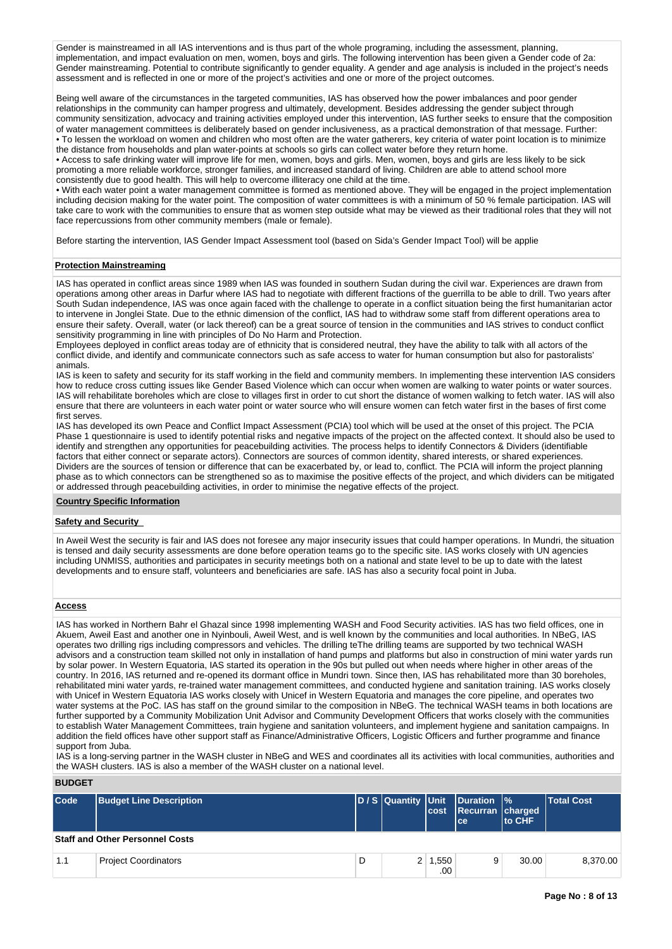Gender is mainstreamed in all IAS interventions and is thus part of the whole programing, including the assessment, planning, implementation, and impact evaluation on men, women, boys and girls. The following intervention has been given a Gender code of 2a: Gender mainstreaming. Potential to contribute significantly to gender equality. A gender and age analysis is included in the project's needs assessment and is reflected in one or more of the project's activities and one or more of the project outcomes.

Being well aware of the circumstances in the targeted communities, IAS has observed how the power imbalances and poor gender relationships in the community can hamper progress and ultimately, development. Besides addressing the gender subject through community sensitization, advocacy and training activities employed under this intervention, IAS further seeks to ensure that the composition of water management committees is deliberately based on gender inclusiveness, as a practical demonstration of that message. Further: • To lessen the workload on women and children who most often are the water gatherers, key criteria of water point location is to minimize the distance from households and plan water-points at schools so girls can collect water before they return home.

• Access to safe drinking water will improve life for men, women, boys and girls. Men, women, boys and girls are less likely to be sick promoting a more reliable workforce, stronger families, and increased standard of living. Children are able to attend school more consistently due to good health. This will help to overcome illiteracy one child at the time.

• With each water point a water management committee is formed as mentioned above. They will be engaged in the project implementation including decision making for the water point. The composition of water committees is with a minimum of 50 % female participation. IAS will take care to work with the communities to ensure that as women step outside what may be viewed as their traditional roles that they will not face repercussions from other community members (male or female).

Before starting the intervention, IAS Gender Impact Assessment tool (based on Sida's Gender Impact Tool) will be applie

## **Protection Mainstreaming**

IAS has operated in conflict areas since 1989 when IAS was founded in southern Sudan during the civil war. Experiences are drawn from operations among other areas in Darfur where IAS had to negotiate with different fractions of the guerrilla to be able to drill. Two years after South Sudan independence, IAS was once again faced with the challenge to operate in a conflict situation being the first humanitarian actor to intervene in Jonglei State. Due to the ethnic dimension of the conflict, IAS had to withdraw some staff from different operations area to ensure their safety. Overall, water (or lack thereof) can be a great source of tension in the communities and IAS strives to conduct conflict sensitivity programming in line with principles of Do No Harm and Protection.

Employees deployed in conflict areas today are of ethnicity that is considered neutral, they have the ability to talk with all actors of the conflict divide, and identify and communicate connectors such as safe access to water for human consumption but also for pastoralists' animals.

IAS is keen to safety and security for its staff working in the field and community members. In implementing these intervention IAS considers how to reduce cross cutting issues like Gender Based Violence which can occur when women are walking to water points or water sources. IAS will rehabilitate boreholes which are close to villages first in order to cut short the distance of women walking to fetch water. IAS will also ensure that there are volunteers in each water point or water source who will ensure women can fetch water first in the bases of first come first serves.

IAS has developed its own Peace and Conflict Impact Assessment (PCIA) tool which will be used at the onset of this project. The PCIA Phase 1 questionnaire is used to identify potential risks and negative impacts of the project on the affected context. It should also be used to identify and strengthen any opportunities for peacebuilding activities. The process helps to identify Connectors & Dividers (identifiable factors that either connect or separate actors). Connectors are sources of common identity, shared interests, or shared experiences. Dividers are the sources of tension or difference that can be exacerbated by, or lead to, conflict. The PCIA will inform the project planning phase as to which connectors can be strengthened so as to maximise the positive effects of the project, and which dividers can be mitigated or addressed through peacebuilding activities, in order to minimise the negative effects of the project.

#### **Country Specific Information**

### **Safety and Security**

In Aweil West the security is fair and IAS does not foresee any major insecurity issues that could hamper operations. In Mundri, the situation is tensed and daily security assessments are done before operation teams go to the specific site. IAS works closely with UN agencies including UNMISS, authorities and participates in security meetings both on a national and state level to be up to date with the latest developments and to ensure staff, volunteers and beneficiaries are safe. IAS has also a security focal point in Juba.

### **Access**

IAS has worked in Northern Bahr el Ghazal since 1998 implementing WASH and Food Security activities. IAS has two field offices, one in Akuem, Aweil East and another one in Nyinbouli, Aweil West, and is well known by the communities and local authorities. In NBeG, IAS operates two drilling rigs including compressors and vehicles. The drilling teThe drilling teams are supported by two technical WASH advisors and a construction team skilled not only in installation of hand pumps and platforms but also in construction of mini water yards run by solar power. In Western Equatoria, IAS started its operation in the 90s but pulled out when needs where higher in other areas of the country. In 2016, IAS returned and re-opened its dormant office in Mundri town. Since then, IAS has rehabilitated more than 30 boreholes, rehabilitated mini water yards, re-trained water management committees, and conducted hygiene and sanitation training. IAS works closely with Unicef in Western Equatoria IAS works closely with Unicef in Western Equatoria and manages the core pipeline, and operates two water systems at the PoC. IAS has staff on the ground similar to the composition in NBeG. The technical WASH teams in both locations are further supported by a Community Mobilization Unit Advisor and Community Development Officers that works closely with the communities to establish Water Management Committees, train hygiene and sanitation volunteers, and implement hygiene and sanitation campaigns. In addition the field offices have other support staff as Finance/Administrative Officers, Logistic Officers and further programme and finance support from Juba.

IAS is a long-serving partner in the WASH cluster in NBeG and WES and coordinates all its activities with local communities, authorities and the WASH clusters. IAS is also a member of the WASH cluster on a national level.

# **BUDGET**

| Code | <b>Budget Line Description</b>         |   |                | <b>cost</b>      | D/S Quantity Unit Duration %<br>Recurran charged<br>l cel | lto CHF | <b>Total Cost</b> |
|------|----------------------------------------|---|----------------|------------------|-----------------------------------------------------------|---------|-------------------|
|      | <b>Staff and Other Personnel Costs</b> |   |                |                  |                                                           |         |                   |
| 1.1  | <b>Project Coordinators</b>            | D | 2 <sup>1</sup> | 1,550<br>$.00\%$ | 9                                                         | 30.00   | 8.370.00          |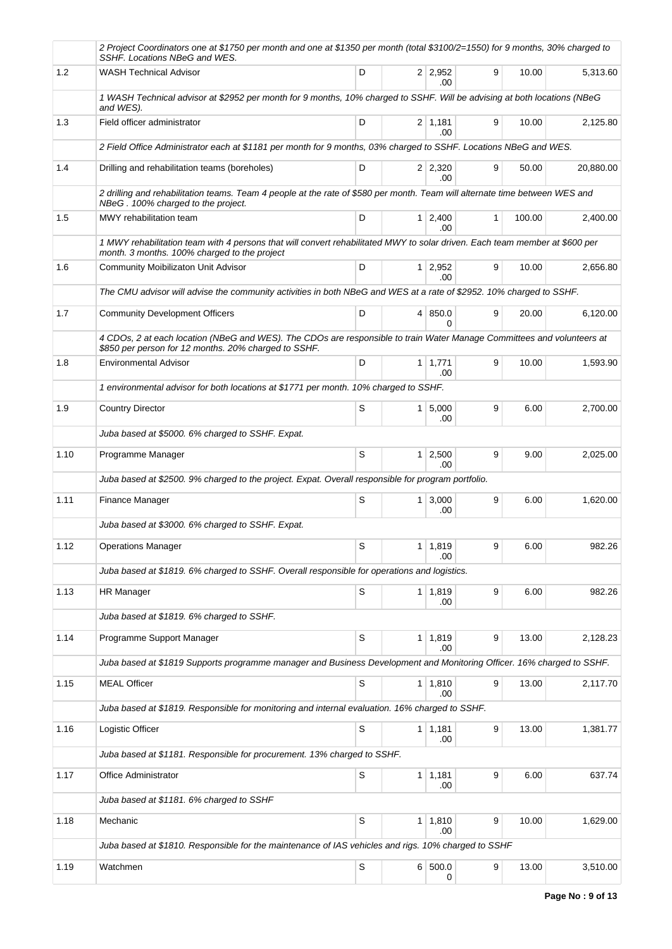|      | 2 Project Coordinators one at \$1750 per month and one at \$1350 per month (total \$3100/2=1550) for 9 months, 30% charged to<br>SSHF. Locations NBeG and WES.                 |             |                |                        |   |        |           |
|------|--------------------------------------------------------------------------------------------------------------------------------------------------------------------------------|-------------|----------------|------------------------|---|--------|-----------|
| 1.2  | <b>WASH Technical Advisor</b>                                                                                                                                                  | D           |                | $2 \mid 2,952$<br>.00  | 9 | 10.00  | 5,313.60  |
|      | 1 WASH Technical advisor at \$2952 per month for 9 months, 10% charged to SSHF. Will be advising at both locations (NBeG<br>and WES).                                          |             |                |                        |   |        |           |
| 1.3  | Field officer administrator                                                                                                                                                    | D           |                | $2 \mid 1,181$<br>.00. | 9 | 10.00  | 2,125.80  |
|      | 2 Field Office Administrator each at \$1181 per month for 9 months, 03% charged to SSHF. Locations NBeG and WES.                                                               |             |                |                        |   |        |           |
| 1.4  | Drilling and rehabilitation teams (boreholes)                                                                                                                                  | D           |                | $2 \mid 2,320$<br>.00  | 9 | 50.00  | 20,880.00 |
|      | 2 drilling and rehabilitation teams. Team 4 people at the rate of \$580 per month. Team will alternate time between WES and<br>NBeG. 100% charged to the project.              |             |                |                        |   |        |           |
| 1.5  | MWY rehabilitation team                                                                                                                                                        | D           |                | 1 2,400<br>.00         | 1 | 100.00 | 2,400.00  |
|      | 1 MWY rehabilitation team with 4 persons that will convert rehabilitated MWY to solar driven. Each team member at \$600 per<br>month. 3 months. 100% charged to the project    |             |                |                        |   |        |           |
| 1.6  | <b>Community Moibilizaton Unit Advisor</b>                                                                                                                                     | D           |                | $1 \mid 2,952$<br>.00  | 9 | 10.00  | 2,656.80  |
|      | The CMU advisor will advise the community activities in both NBeG and WES at a rate of \$2952. 10% charged to SSHF.                                                            |             |                |                        |   |        |           |
| 1.7  | <b>Community Development Officers</b>                                                                                                                                          | D           |                | 4 850.0<br>$\Omega$    | 9 | 20.00  | 6,120.00  |
|      | 4 CDOs, 2 at each location (NBeG and WES). The CDOs are responsible to train Water Manage Committees and volunteers at<br>\$850 per person for 12 months. 20% charged to SSHF. |             |                |                        |   |        |           |
| 1.8  | <b>Environmental Advisor</b>                                                                                                                                                   | D           |                | $1 \mid 1,771$<br>.00  | 9 | 10.00  | 1,593.90  |
|      | 1 environmental advisor for both locations at \$1771 per month. 10% charged to SSHF.                                                                                           |             |                |                        |   |        |           |
| 1.9  | <b>Country Director</b>                                                                                                                                                        | S           |                | 1 5,000<br>.00         | 9 | 6.00   | 2,700.00  |
|      | Juba based at \$5000. 6% charged to SSHF. Expat.                                                                                                                               |             |                |                        |   |        |           |
| 1.10 | Programme Manager                                                                                                                                                              | S           |                | $1 \mid 2,500$<br>.00  | 9 | 9.00   | 2,025.00  |
|      | Juba based at \$2500. 9% charged to the project. Expat. Overall responsible for program portfolio.                                                                             |             |                |                        |   |        |           |
| 1.11 | Finance Manager                                                                                                                                                                | S           |                | $1 \, 3,000$<br>.00    | 9 | 6.00   | 1,620.00  |
|      | Juba based at \$3000. 6% charged to SSHF. Expat.                                                                                                                               |             |                |                        |   |        |           |
| 1.12 | <b>Operations Manager</b>                                                                                                                                                      | S           |                | 1   1,819  <br>.00     | 9 | 6.00   | 982.26    |
|      | Juba based at \$1819. 6% charged to SSHF. Overall responsible for operations and logistics.                                                                                    |             |                |                        |   |        |           |
| 1.13 | <b>HR Manager</b>                                                                                                                                                              | $\mathsf S$ |                | $1 \mid 1,819$<br>.00  | 9 | 6.00   | 982.26    |
|      | Juba based at \$1819. 6% charged to SSHF.                                                                                                                                      |             |                |                        |   |        |           |
| 1.14 | Programme Support Manager                                                                                                                                                      | S           |                | $1 \mid 1,819$<br>.00  | 9 | 13.00  | 2,128.23  |
|      | Juba based at \$1819 Supports programme manager and Business Development and Monitoring Officer. 16% charged to SSHF.                                                          |             |                |                        |   |        |           |
| 1.15 | <b>MEAL Officer</b>                                                                                                                                                            | $\mathbb S$ |                | $1 \mid 1,810$<br>.00  | 9 | 13.00  | 2,117.70  |
|      | Juba based at \$1819. Responsible for monitoring and internal evaluation. 16% charged to SSHF.                                                                                 |             |                |                        |   |        |           |
| 1.16 | Logistic Officer                                                                                                                                                               | S           |                | 1 1,181<br>.00         | 9 | 13.00  | 1,381.77  |
|      | Juba based at \$1181. Responsible for procurement. 13% charged to SSHF.                                                                                                        |             |                |                        |   |        |           |
| 1.17 | Office Administrator                                                                                                                                                           | $\mathbb S$ |                | $1 \mid 1,181$<br>.00  | 9 | 6.00   | 637.74    |
|      | Juba based at \$1181. 6% charged to SSHF                                                                                                                                       |             |                |                        |   |        |           |
| 1.18 | Mechanic                                                                                                                                                                       | S           | 1 <sup>1</sup> | 1,810<br>.00           | 9 | 10.00  | 1,629.00  |
|      | Juba based at \$1810. Responsible for the maintenance of IAS vehicles and rigs. 10% charged to SSHF                                                                            |             |                |                        |   |        |           |
| 1.19 | Watchmen                                                                                                                                                                       | $\mathbb S$ |                | 6 500.0<br>0           | 9 | 13.00  | 3,510.00  |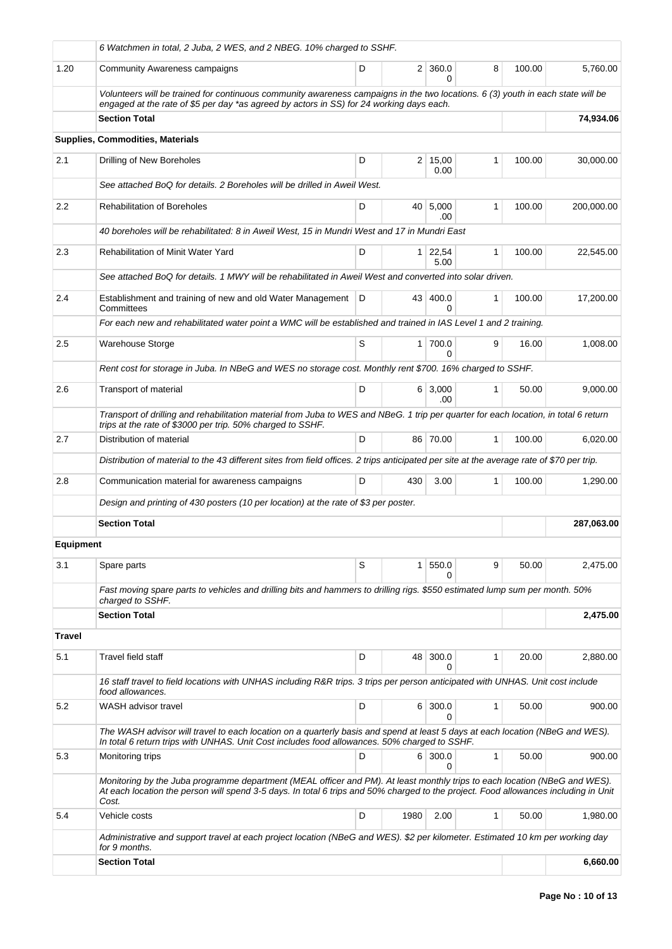|                  | 6 Watchmen in total, 2 Juba, 2 WES, and 2 NBEG. 10% charged to SSHF.                                                                                                                                                                                                       |   |      |                        |              |        |            |
|------------------|----------------------------------------------------------------------------------------------------------------------------------------------------------------------------------------------------------------------------------------------------------------------------|---|------|------------------------|--------------|--------|------------|
| 1.20             | Community Awareness campaigns                                                                                                                                                                                                                                              | D |      | $2 \mid 360.0$<br>0    | 8            | 100.00 | 5,760.00   |
|                  | Volunteers will be trained for continuous community awareness campaigns in the two locations. 6 (3) youth in each state will be<br>engaged at the rate of \$5 per day *as agreed by actors in SS) for 24 working days each.                                                |   |      |                        |              |        |            |
|                  | <b>Section Total</b>                                                                                                                                                                                                                                                       |   |      |                        |              |        | 74.934.06  |
|                  | Supplies, Commodities, Materials                                                                                                                                                                                                                                           |   |      |                        |              |        |            |
| 2.1              | Drilling of New Boreholes                                                                                                                                                                                                                                                  | D |      | $2 \mid 15,00$<br>0.00 | 1            | 100.00 | 30,000.00  |
|                  | See attached BoQ for details. 2 Boreholes will be drilled in Aweil West.                                                                                                                                                                                                   |   |      |                        |              |        |            |
| $2.2\,$          | <b>Rehabilitation of Boreholes</b>                                                                                                                                                                                                                                         | D | 40 l | 5,000<br>.00           | $\mathbf{1}$ | 100.00 | 200,000.00 |
|                  | 40 boreholes will be rehabilitated: 8 in Aweil West, 15 in Mundri West and 17 in Mundri East                                                                                                                                                                               |   |      |                        |              |        |            |
| 2.3              | <b>Rehabilitation of Minit Water Yard</b>                                                                                                                                                                                                                                  | D |      | $1 \mid 22,54$<br>5.00 | $\mathbf{1}$ | 100.00 | 22,545.00  |
|                  | See attached BoQ for details. 1 MWY will be rehabilitated in Aweil West and converted into solar driven.                                                                                                                                                                   |   |      |                        |              |        |            |
| 2.4              | Establishment and training of new and old Water Management   D<br>Committees                                                                                                                                                                                               |   |      | 43 400.0<br>$\Omega$   | 1            | 100.00 | 17,200.00  |
|                  | For each new and rehabilitated water point a WMC will be established and trained in IAS Level 1 and 2 training.                                                                                                                                                            |   |      |                        |              |        |            |
| 2.5              | <b>Warehouse Storge</b>                                                                                                                                                                                                                                                    | S |      | 1 700.0<br>0           | 9            | 16.00  | 1.008.00   |
|                  | Rent cost for storage in Juba. In NBeG and WES no storage cost. Monthly rent \$700. 16% charged to SSHF.                                                                                                                                                                   |   |      |                        |              |        |            |
| 2.6              | Transport of material                                                                                                                                                                                                                                                      | D |      | 6 3,000<br>.00         | $\mathbf{1}$ | 50.00  | 9,000.00   |
|                  | Transport of drilling and rehabilitation material from Juba to WES and NBeG. 1 trip per quarter for each location, in total 6 return<br>trips at the rate of \$3000 per trip. 50% charged to SSHF.                                                                         |   |      |                        |              |        |            |
| 2.7              | Distribution of material                                                                                                                                                                                                                                                   | D |      | 86 70.00               | $\mathbf{1}$ | 100.00 | 6,020.00   |
|                  | Distribution of material to the 43 different sites from field offices. 2 trips anticipated per site at the average rate of \$70 per trip.                                                                                                                                  |   |      |                        |              |        |            |
| 2.8              | Communication material for awareness campaigns                                                                                                                                                                                                                             | D | 430  | 3.00                   | 1            | 100.00 | 1,290.00   |
|                  | Design and printing of 430 posters (10 per location) at the rate of \$3 per poster.                                                                                                                                                                                        |   |      |                        |              |        |            |
|                  | <b>Section Total</b>                                                                                                                                                                                                                                                       |   |      |                        |              |        | 287,063.00 |
| <b>Equipment</b> |                                                                                                                                                                                                                                                                            |   |      |                        |              |        |            |
| 3.1              | Spare parts                                                                                                                                                                                                                                                                | S | 1    | 550.0<br>0             | 9            | 50.00  | 2,475.00   |
|                  | Fast moving spare parts to vehicles and drilling bits and hammers to drilling rigs. \$550 estimated lump sum per month. 50%<br>charged to SSHF.                                                                                                                            |   |      |                        |              |        |            |
|                  | <b>Section Total</b>                                                                                                                                                                                                                                                       |   |      |                        |              |        | 2,475.00   |
| <b>Travel</b>    |                                                                                                                                                                                                                                                                            |   |      |                        |              |        |            |
| 5.1              | Travel field staff                                                                                                                                                                                                                                                         | D | 48   | 300.0<br>0             | 1            | 20.00  | 2,880.00   |
|                  | 16 staff travel to field locations with UNHAS including R&R trips. 3 trips per person anticipated with UNHAS. Unit cost include<br>food allowances.                                                                                                                        |   |      |                        |              |        |            |
| 5.2              | WASH advisor travel                                                                                                                                                                                                                                                        | D |      | 6 300.0<br>0           | 1            | 50.00  | 900.00     |
|                  | The WASH advisor will travel to each location on a quarterly basis and spend at least 5 days at each location (NBeG and WES).<br>In total 6 return trips with UNHAS. Unit Cost includes food allowances. 50% charged to SSHF.                                              |   |      |                        |              |        |            |
| 5.3              | Monitoring trips                                                                                                                                                                                                                                                           | D |      | 6 300.0<br>0           | $\mathbf{1}$ | 50.00  | 900.00     |
|                  | Monitoring by the Juba programme department (MEAL officer and PM). At least monthly trips to each location (NBeG and WES).<br>At each location the person will spend 3-5 days. In total 6 trips and 50% charged to the project. Food allowances including in Unit<br>Cost. |   |      |                        |              |        |            |
| 5.4              | Vehicle costs                                                                                                                                                                                                                                                              | D | 1980 | 2.00                   | 1            | 50.00  | 1,980.00   |
|                  | Administrative and support travel at each project location (NBeG and WES). \$2 per kilometer. Estimated 10 km per working day<br>for 9 months.                                                                                                                             |   |      |                        |              |        |            |
|                  | <b>Section Total</b>                                                                                                                                                                                                                                                       |   |      |                        |              |        | 6,660.00   |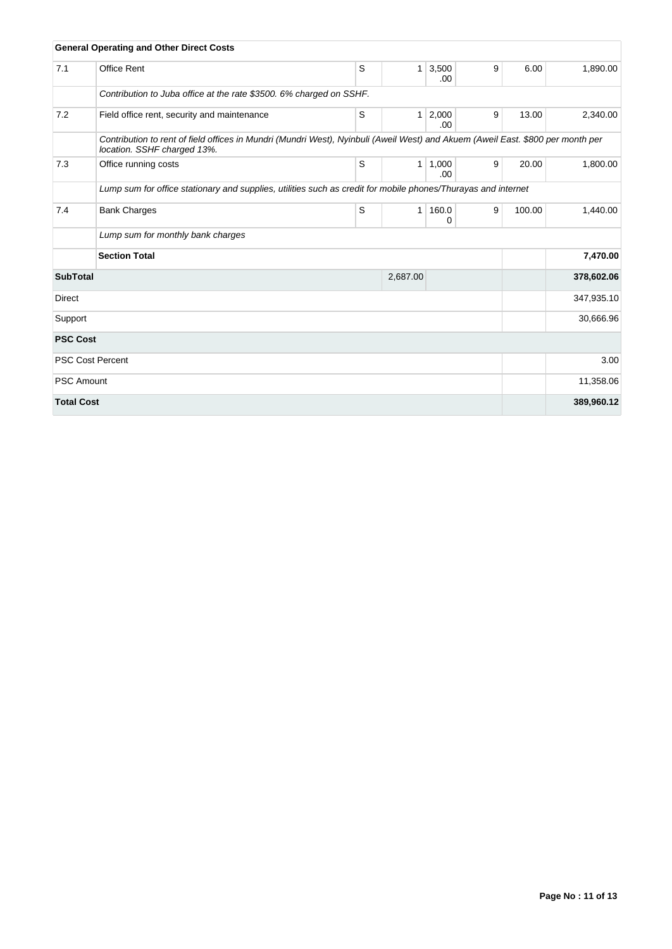|                   | <b>General Operating and Other Direct Costs</b>                                                                                                                |   |              |               |   |        |            |
|-------------------|----------------------------------------------------------------------------------------------------------------------------------------------------------------|---|--------------|---------------|---|--------|------------|
| 7.1               | <b>Office Rent</b>                                                                                                                                             | S | $\mathbf{1}$ | 3,500<br>.00. | 9 | 6.00   | 1,890.00   |
|                   | Contribution to Juba office at the rate \$3500. 6% charged on SSHF.                                                                                            |   |              |               |   |        |            |
| 7.2               | Field office rent, security and maintenance                                                                                                                    | S | $\mathbf{1}$ | 2,000<br>.00. | 9 | 13.00  | 2,340.00   |
|                   | Contribution to rent of field offices in Mundri (Mundri West), Nyinbuli (Aweil West) and Akuem (Aweil East. \$800 per month per<br>location. SSHF charged 13%. |   |              |               |   |        |            |
| 7.3               | Office running costs                                                                                                                                           | S | 1            | 1,000<br>.00. | 9 | 20.00  | 1,800.00   |
|                   | Lump sum for office stationary and supplies, utilities such as credit for mobile phones/Thurayas and internet                                                  |   |              |               |   |        |            |
| 7.4               | <b>Bank Charges</b>                                                                                                                                            | S | 1            | 160.0<br>0    | 9 | 100.00 | 1,440.00   |
|                   | Lump sum for monthly bank charges                                                                                                                              |   |              |               |   |        |            |
|                   | <b>Section Total</b>                                                                                                                                           |   |              |               |   |        | 7,470.00   |
| <b>SubTotal</b>   |                                                                                                                                                                |   | 2,687.00     |               |   |        | 378,602.06 |
| <b>Direct</b>     |                                                                                                                                                                |   |              |               |   |        | 347,935.10 |
| Support           |                                                                                                                                                                |   |              |               |   |        | 30,666.96  |
| <b>PSC Cost</b>   |                                                                                                                                                                |   |              |               |   |        |            |
|                   | <b>PSC Cost Percent</b>                                                                                                                                        |   |              |               |   |        | 3.00       |
| <b>PSC Amount</b> |                                                                                                                                                                |   |              |               |   |        | 11,358.06  |
| <b>Total Cost</b> |                                                                                                                                                                |   |              |               |   |        | 389,960.12 |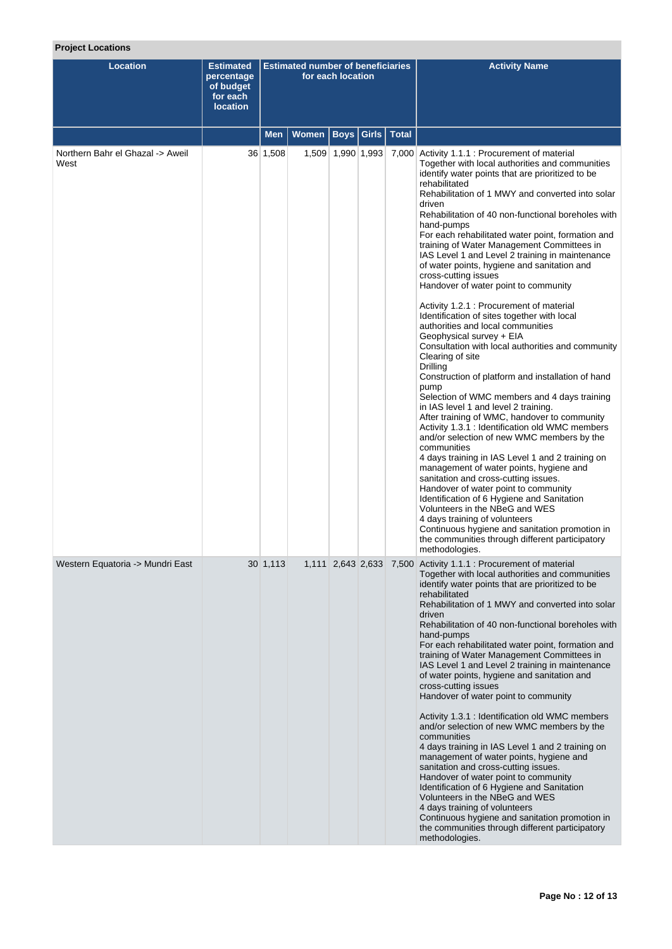# **Project Locations**

| <b>Location</b>                          | <b>Estimated</b><br>percentage<br>of budget<br>for each<br><b>location</b> |             | <b>Estimated number of beneficiaries</b> | for each location |  | <b>Activity Name</b>                                                                                                                                                                                                                                                                                                                                                                                                                                                                                                                                                                                                                                                                                                                                                                                                                                                                                                                                                                                                                                                                                                                                                                                                                                                                                                                                                                                                                                                                                                                                                       |
|------------------------------------------|----------------------------------------------------------------------------|-------------|------------------------------------------|-------------------|--|----------------------------------------------------------------------------------------------------------------------------------------------------------------------------------------------------------------------------------------------------------------------------------------------------------------------------------------------------------------------------------------------------------------------------------------------------------------------------------------------------------------------------------------------------------------------------------------------------------------------------------------------------------------------------------------------------------------------------------------------------------------------------------------------------------------------------------------------------------------------------------------------------------------------------------------------------------------------------------------------------------------------------------------------------------------------------------------------------------------------------------------------------------------------------------------------------------------------------------------------------------------------------------------------------------------------------------------------------------------------------------------------------------------------------------------------------------------------------------------------------------------------------------------------------------------------------|
|                                          |                                                                            | <b>Men</b>  | Women   Boys   Girls   Total             |                   |  |                                                                                                                                                                                                                                                                                                                                                                                                                                                                                                                                                                                                                                                                                                                                                                                                                                                                                                                                                                                                                                                                                                                                                                                                                                                                                                                                                                                                                                                                                                                                                                            |
| Northern Bahr el Ghazal -> Aweil<br>West |                                                                            | 36 1,508    |                                          | 1,509 1,990 1,993 |  | 7,000 Activity 1.1.1 : Procurement of material<br>Together with local authorities and communities<br>identify water points that are prioritized to be<br>rehabilitated<br>Rehabilitation of 1 MWY and converted into solar<br>driven<br>Rehabilitation of 40 non-functional boreholes with<br>hand-pumps<br>For each rehabilitated water point, formation and<br>training of Water Management Committees in<br>IAS Level 1 and Level 2 training in maintenance<br>of water points, hygiene and sanitation and<br>cross-cutting issues<br>Handover of water point to community<br>Activity 1.2.1 : Procurement of material<br>Identification of sites together with local<br>authorities and local communities<br>Geophysical survey + EIA<br>Consultation with local authorities and community<br>Clearing of site<br>Drilling<br>Construction of platform and installation of hand<br>pump<br>Selection of WMC members and 4 days training<br>in IAS level 1 and level 2 training.<br>After training of WMC, handover to community<br>Activity 1.3.1 : Identification old WMC members<br>and/or selection of new WMC members by the<br>communities<br>4 days training in IAS Level 1 and 2 training on<br>management of water points, hygiene and<br>sanitation and cross-cutting issues.<br>Handover of water point to community<br>Identification of 6 Hygiene and Sanitation<br>Volunteers in the NBeG and WES<br>4 days training of volunteers<br>Continuous hygiene and sanitation promotion in<br>the communities through different participatory<br>methodologies. |
| Western Equatoria -> Mundri East         |                                                                            | $30\,1,113$ |                                          |                   |  | 1,111 2,643 2,633 7,500 Activity 1.1.1 : Procurement of material<br>Together with local authorities and communities<br>identify water points that are prioritized to be<br>rehabilitated<br>Rehabilitation of 1 MWY and converted into solar<br>driven<br>Rehabilitation of 40 non-functional boreholes with<br>hand-pumps<br>For each rehabilitated water point, formation and<br>training of Water Management Committees in<br>IAS Level 1 and Level 2 training in maintenance<br>of water points, hygiene and sanitation and<br>cross-cutting issues<br>Handover of water point to community<br>Activity 1.3.1 : Identification old WMC members<br>and/or selection of new WMC members by the<br>communities<br>4 days training in IAS Level 1 and 2 training on<br>management of water points, hygiene and<br>sanitation and cross-cutting issues.<br>Handover of water point to community<br>Identification of 6 Hygiene and Sanitation<br>Volunteers in the NBeG and WES<br>4 days training of volunteers<br>Continuous hygiene and sanitation promotion in<br>the communities through different participatory<br>methodologies.                                                                                                                                                                                                                                                                                                                                                                                                                                     |